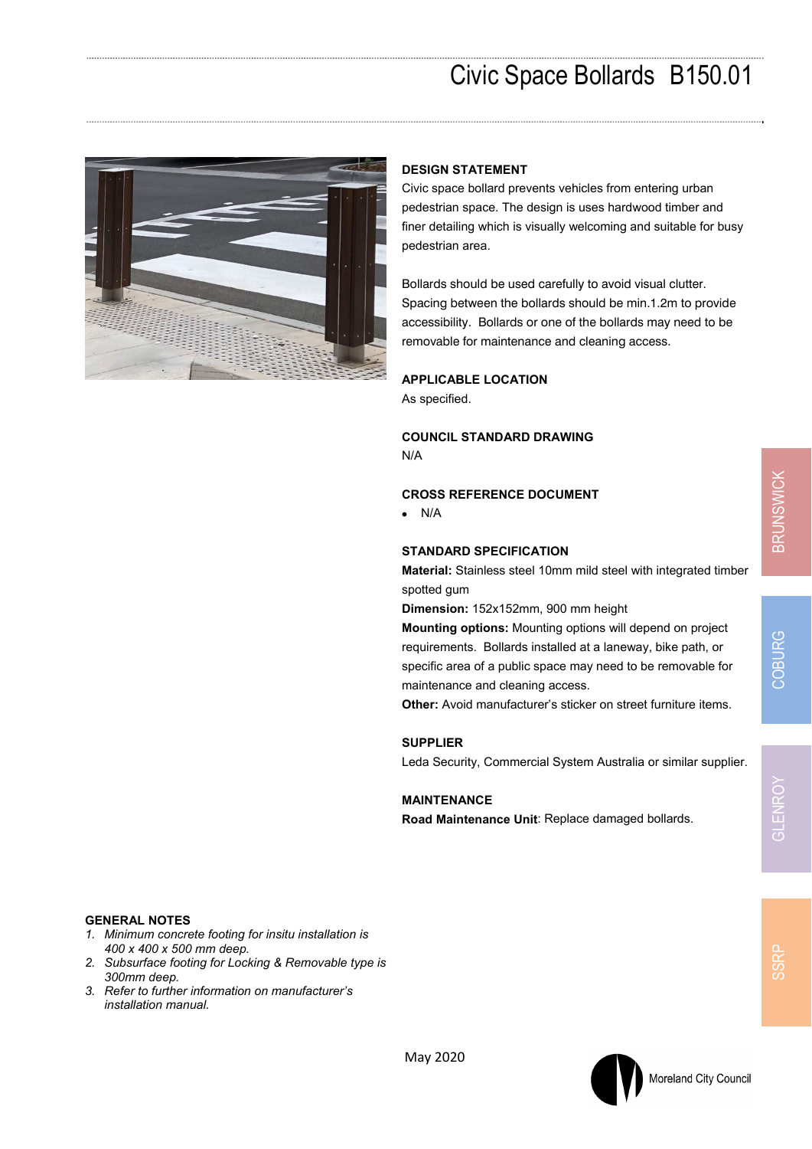

## **DESIGN STATEMENT**

Civic space bollard prevents vehicles from entering urban pedestrian space. The design is uses hardwood timber and finer detailing which is visually welcoming and suitable for busy pedestrian area.

Bollards should be used carefully to avoid visual clutter. Spacing between the bollards should be min.1.2m to provide accessibility. Bollards or one of the bollards may need to be removable for maintenance and cleaning access.

#### **APPLICABLE LOCATION**

As specified.

**COUNCIL STANDARD DRAWING** 

N/A

#### **CROSS REFERENCE DOCUMENT**

 $\bullet$  N/A

### **STANDARD SPECIFICATION**

**Material:** Stainless steel 10mm mild steel with integrated timber spotted gum

**Dimension:** 152x152mm, 900 mm height

**Mounting options:** Mounting options will depend on project requirements. Bollards installed at a laneway, bike path, or specific area of a public space may need to be removable for maintenance and cleaning access.

**Other:** Avoid manufacturer's sticker on street furniture items.

### **SUPPLIER**

Leda Security, Commercial System Australia or similar supplier.

#### **MAINTENANCE**

**Road Maintenance Unit**: Replace damaged bollards.

SSRF

# **GENERAL NOTES**

- *1. Minimum concrete footing for insitu installation is 400 x 400 x 500 mm deep.*
- *2. Subsurface footing for Locking & Removable type is 300mm deep.*
- *3. Refer to further information on manufacturer's installation manual.*